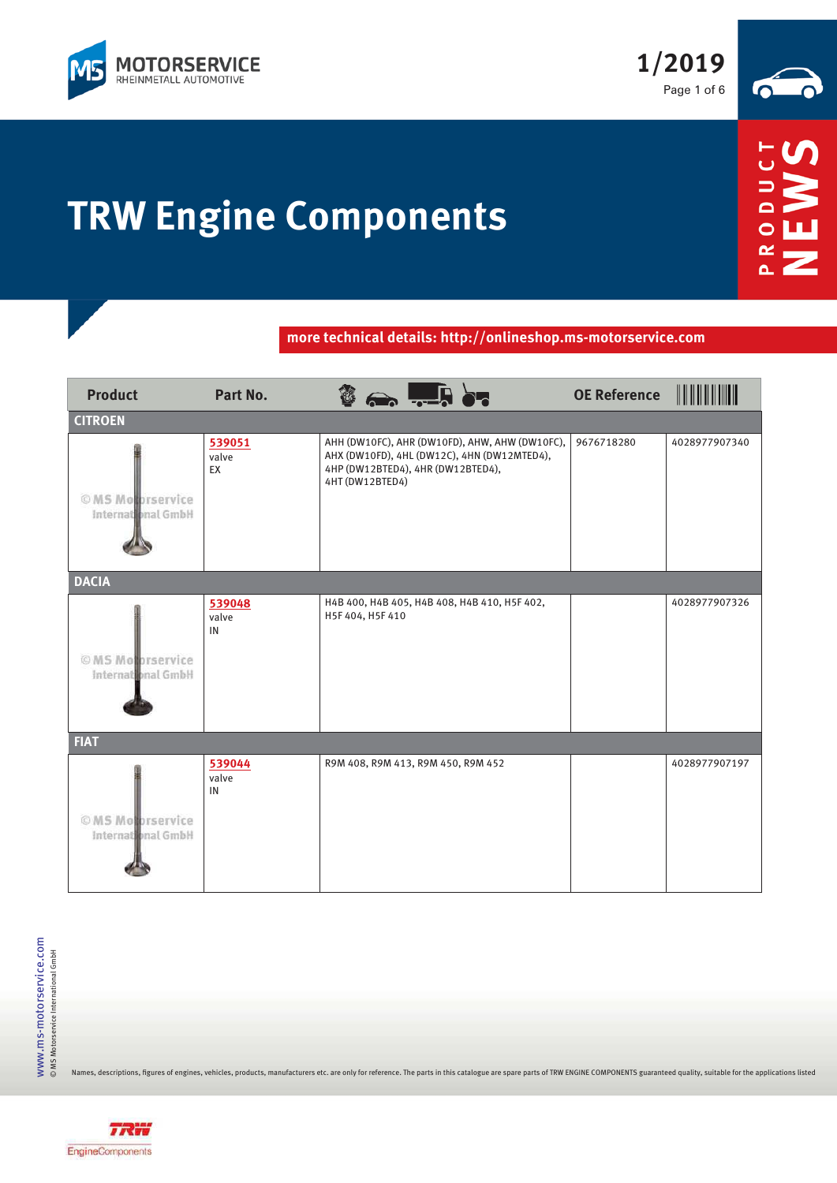

**1/2019** Page 1 of 6



Ō œ ä.

## **TRW Engine Components**

**more technical details: http://onlineshop.ms-motorservice.com**

| <b>Product</b>                          | Part No.              |                                                                                                                                                       | <b>OE Reference</b> |               |
|-----------------------------------------|-----------------------|-------------------------------------------------------------------------------------------------------------------------------------------------------|---------------------|---------------|
| <b>CITROEN</b>                          |                       |                                                                                                                                                       |                     |               |
| © MS Motorservice<br>International GmbH | 539051<br>valve<br>EX | AHH (DW10FC), AHR (DW10FD), AHW, AHW (DW10FC),<br>AHX (DW10FD), 4HL (DW12C), 4HN (DW12MTED4),<br>4HP (DW12BTED4), 4HR (DW12BTED4),<br>4HT (DW12BTED4) | 9676718280          | 4028977907340 |
| <b>DACIA</b>                            |                       |                                                                                                                                                       |                     |               |
| © MS Motorservice<br>International GmbH | 539048<br>valve<br>IN | H4B 400, H4B 405, H4B 408, H4B 410, H5F 402,<br>H5F 404, H5F 410                                                                                      |                     | 4028977907326 |
| <b>FIAT</b>                             |                       |                                                                                                                                                       |                     |               |
| © MS Motorservice<br>International GmbH | 539044<br>valve<br>IN | R9M 408, R9M 413, R9M 450, R9M 452                                                                                                                    |                     | 4028977907197 |

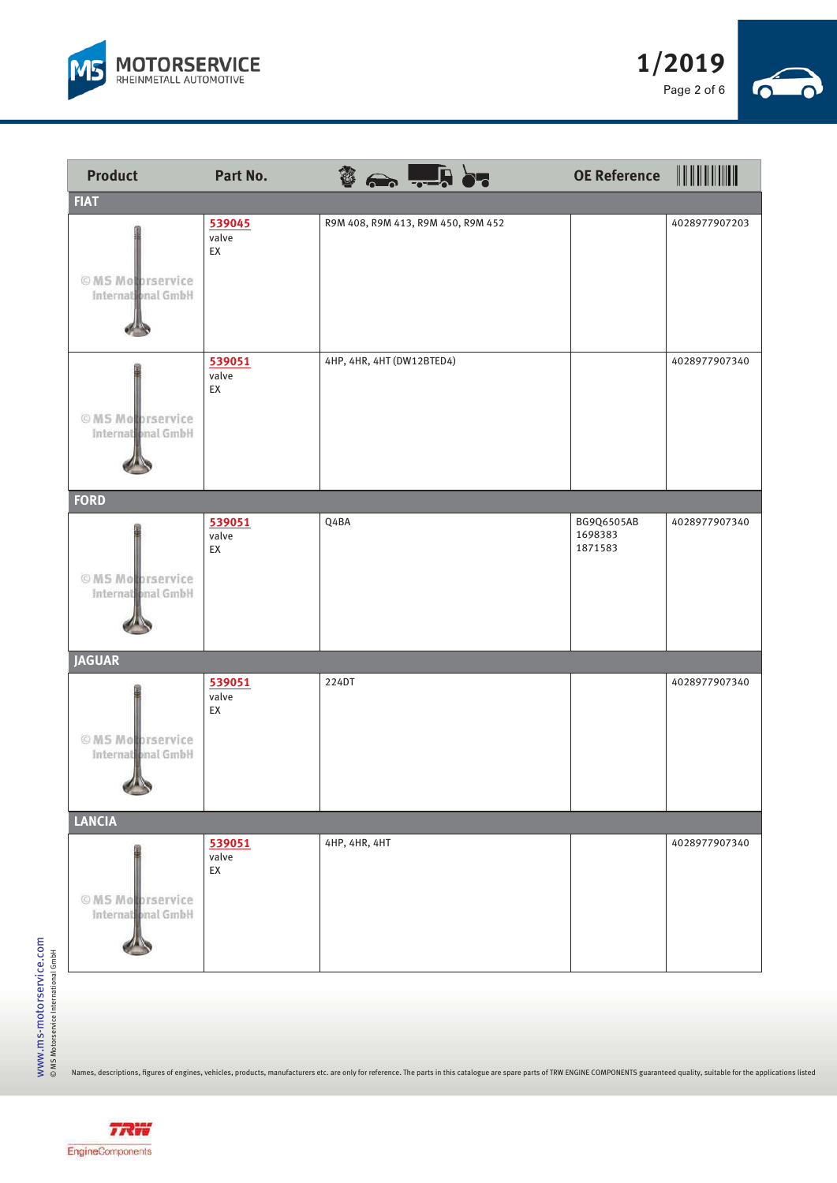





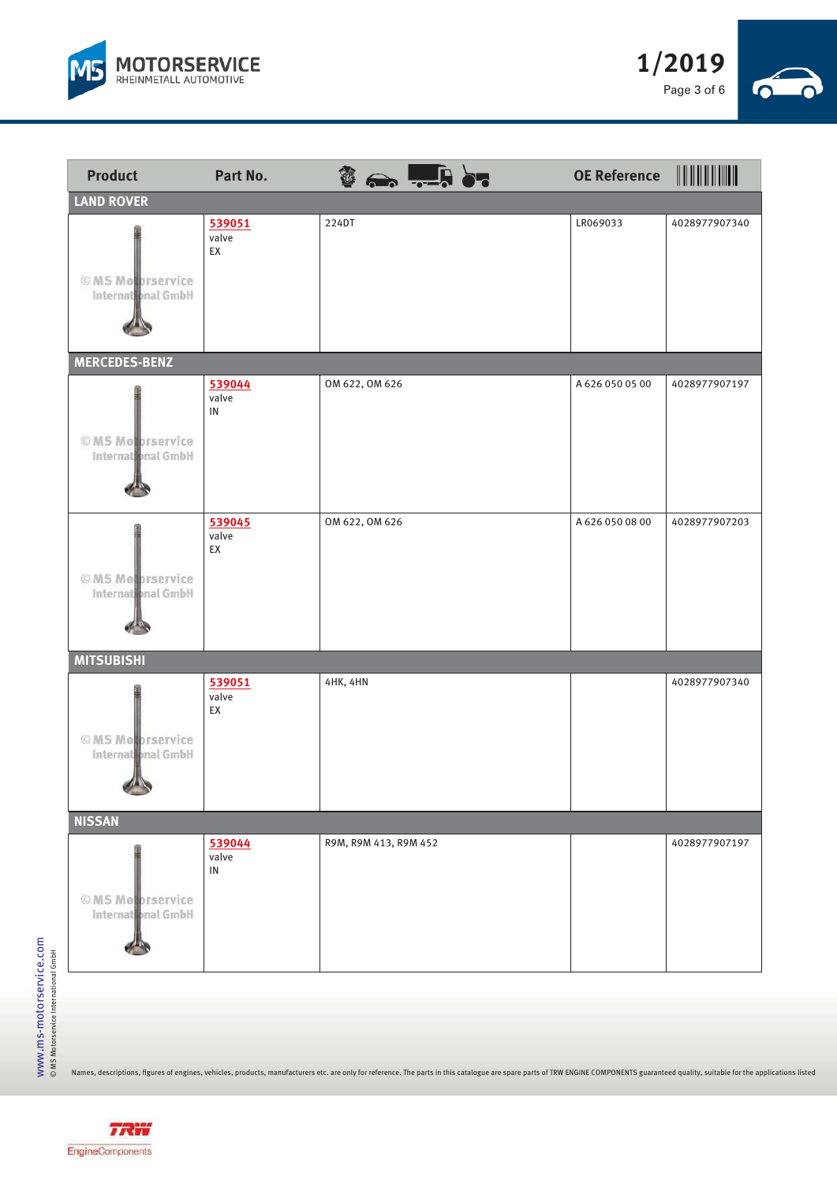





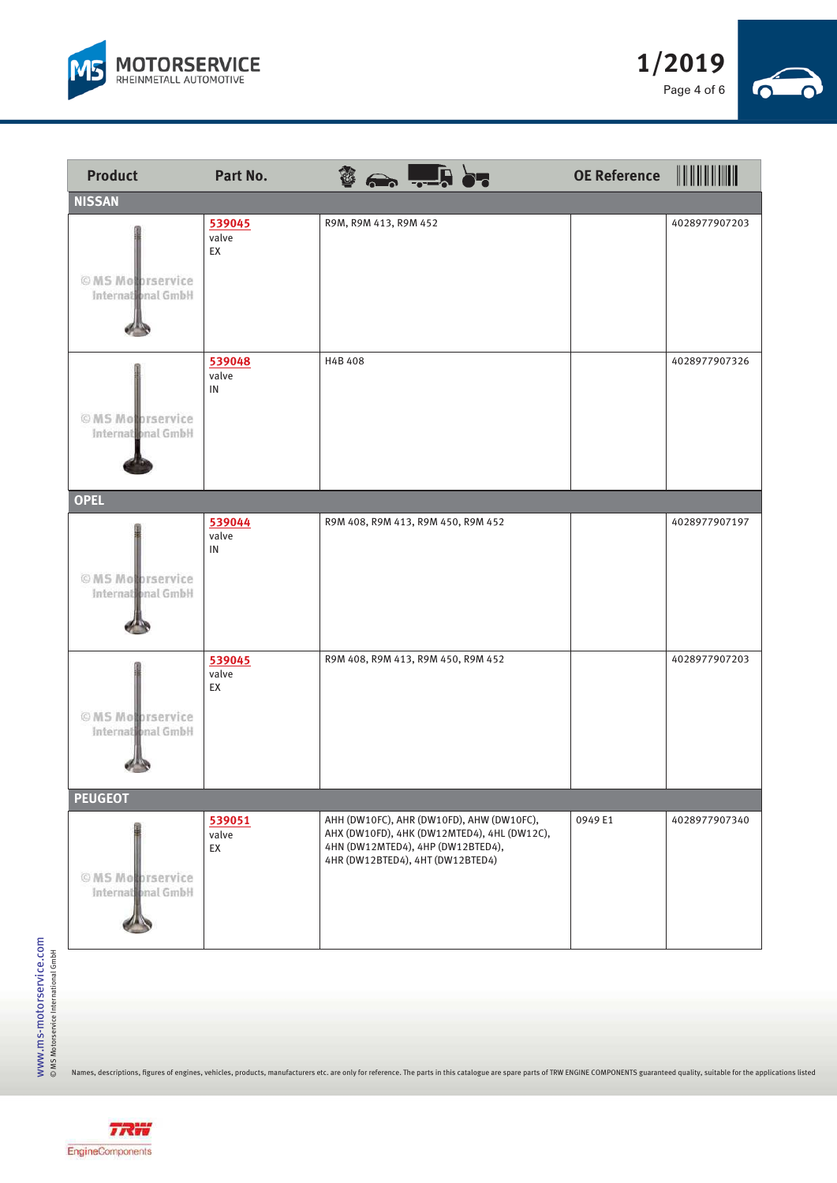





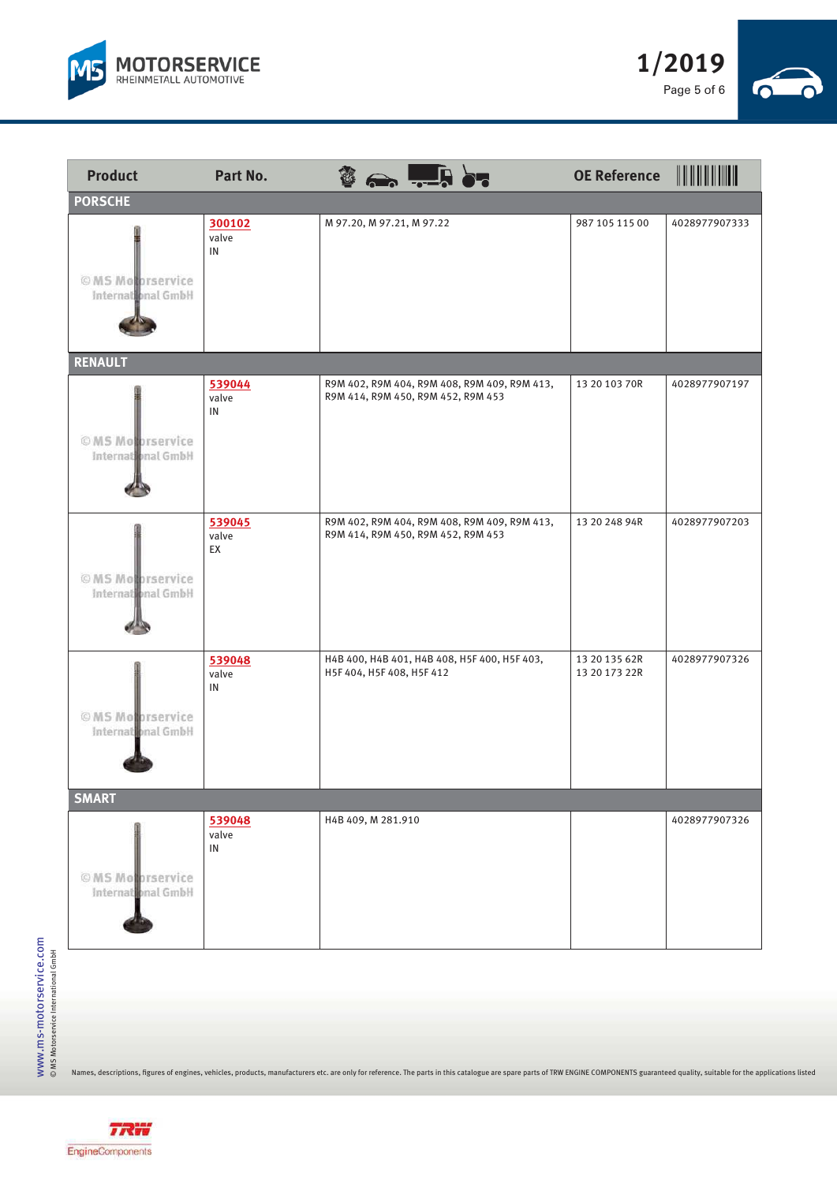



| <b>Product</b>                          | Part No.                      | $\mathbf{\hat{B}} \leftrightarrow \frac{1}{2}$ . $\mathbf{\hat{B}}$                | <b>OE Reference</b>            |               |
|-----------------------------------------|-------------------------------|------------------------------------------------------------------------------------|--------------------------------|---------------|
| <b>PORSCHE</b>                          |                               |                                                                                    |                                |               |
| © MS Motorservice<br>International GmbH | 300102<br>valve<br>IN         | M 97.20, M 97.21, M 97.22                                                          | 987 105 115 00                 | 4028977907333 |
| <b>RENAULT</b>                          |                               |                                                                                    |                                |               |
| © MS Motorservice<br>International GmbH | 539044<br>valve<br>IN         | R9M 402, R9M 404, R9M 408, R9M 409, R9M 413,<br>R9M 414, R9M 450, R9M 452, R9M 453 | 13 20 103 70R                  | 4028977907197 |
| © MS Motorservice<br>International GmbH | 539045<br>valve<br>EX         | R9M 402, R9M 404, R9M 408, R9M 409, R9M 413,<br>R9M 414, R9M 450, R9M 452, R9M 453 | 13 20 248 94R                  | 4028977907203 |
| © MS Motorservice<br>International GmbH | 539048<br>valve<br>IN         | H4B 400, H4B 401, H4B 408, H5F 400, H5F 403,<br>H5F 404, H5F 408, H5F 412          | 13 20 135 62R<br>13 20 173 22R | 4028977907326 |
| <b>SMART</b>                            |                               |                                                                                    |                                |               |
| © MS Motorservice<br>International GmbH | 539048<br>valve<br>${\sf IN}$ | H4B 409, M 281.910                                                                 |                                | 4028977907326 |